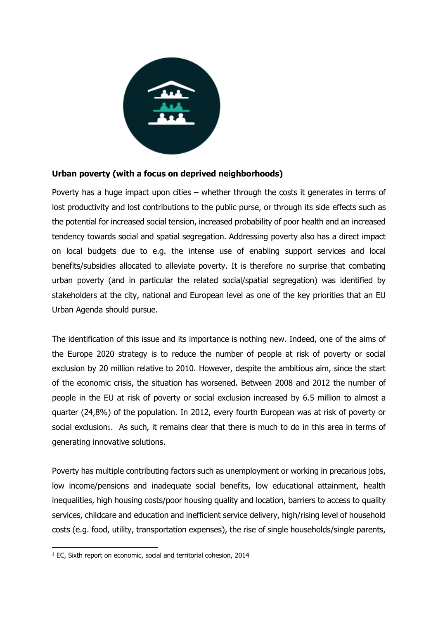

## **Urban poverty (with a focus on deprived neighborhoods)**

Poverty has a huge impact upon cities – whether through the costs it generates in terms of lost productivity and lost contributions to the public purse, or through its side effects such as the potential for increased social tension, increased probability of poor health and an increased tendency towards social and spatial segregation. Addressing poverty also has a direct impact on local budgets due to e.g. the intense use of enabling support services and local benefits/subsidies allocated to alleviate poverty. It is therefore no surprise that combating urban poverty (and in particular the related social/spatial segregation) was identified by stakeholders at the city, national and European level as one of the key priorities that an EU Urban Agenda should pursue.

The identification of this issue and its importance is nothing new. Indeed, one of the aims of the Europe 2020 strategy is to reduce the number of people at risk of poverty or social exclusion by 20 million relative to 2010. However, despite the ambitious aim, since the start of the economic crisis, the situation has worsened. Between 2008 and 2012 the number of people in the EU at risk of poverty or social exclusion increased by 6.5 million to almost a quarter (24,8%) of the population. In 2012, every fourth European was at risk of poverty or social exclusion1. As such, it remains clear that there is much to do in this area in terms of generating innovative solutions.

Poverty has multiple contributing factors such as unemployment or working in precarious jobs, low income/pensions and inadequate social benefits, low educational attainment, health inequalities, high housing costs/poor housing quality and location, barriers to access to quality services, childcare and education and inefficient service delivery, high/rising level of household costs (e.g. food, utility, transportation expenses), the rise of single households/single parents,

 $\overline{a}$ 

<sup>&</sup>lt;sup>1</sup> EC, Sixth report on economic, social and territorial cohesion, 2014